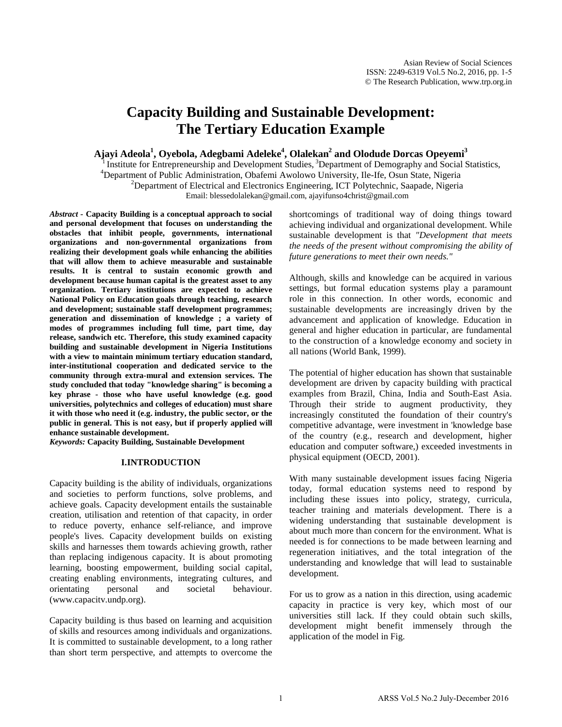# **Capacity Building and Sustainable Development: The Tertiary Education Example**

**Ajayi Adeola1 , Oyebola, Adegbami Adeleke4 , Olalekan2 and Olodude Dorcas Opeyemi3**

Institute for Entrepreneurship and Development Studies, <sup>3</sup>Department of Demography and Social Statistics, <sup>4</sup>Department of Public Administration, Obafemi Awolowo University, Ile-Ife, Osun State, Nigeria <sup>2</sup>Department of Electrical and Electronics Engineering, ICT Polytechnic, Saapade, Nigeria Email: [blessedolalekan@gmail.com,](mailto:blessedolalekan@gmail.com) ajayifunso4christ@gmail.com

*Abstract -* **Capacity Building is a conceptual approach to social and personal development that focuses on understanding the obstacles that inhibit people, governments, international organizations and non-governmental organizations from realizing their development goals while enhancing the abilities that will allow them to achieve measurable and sustainable results. It is central to sustain economic growth and development because human capital is the greatest asset to any organization. Tertiary institutions are expected to achieve National Policy on Education goals through teaching, research and development; sustainable staff development programmes; generation and dissemination of knowledge ; a variety of modes of programmes including full time, part time, day release, sandwich etc. Therefore, this study examined capacity building and sustainable development in Nigeria Institutions with a view to maintain minimum tertiary education standard, inter-institutional cooperation and dedicated service to the community through extra-mural and extension services. The study concluded that today "knowledge sharing" is becoming a key phrase - those who have useful knowledge (e.g. good universities, polytechnics and colleges of education) must share it with those who need it (e.g. industry, the public sector, or the public in general. This is not easy, but if properly applied will enhance sustainable development.** 

*Keywords:* **Capacity Building, Sustainable Development**

### **I.INTRODUCTION**

Capacity building is the ability of individuals, organizations and societies to perform functions, solve problems, and achieve goals. Capacity development entails the sustainable creation, utilisation and retention of that capacity, in order to reduce poverty, enhance self-reliance, and improve people's lives. Capacity development builds on existing skills and harnesses them towards achieving growth, rather than replacing indigenous capacity. It is about promoting learning, boosting empowerment, building social capital, creating enabling environments, integrating cultures, and orientating personal and societal behaviour. [\(www.capacitv.undp.org\)](http://www.capacitv.undp.org/).

Capacity building is thus based on learning and acquisition of skills and resources among individuals and organizations. It is committed to sustainable development, to a long rather than short term perspective, and attempts to overcome the shortcomings of traditional way of doing things toward achieving individual and organizational development. While sustainable development is that *"Development that meets the needs of the present without compromising the ability of future generations to meet their own needs."*

Although, skills and knowledge can be acquired in various settings, but formal education systems play a paramount role in this connection. In other words, economic and sustainable developments are increasingly driven by the advancement and application of knowledge. Education in general and higher education in particular, are fundamental to the construction of a knowledge economy and society in all nations (World Bank, 1999).

The potential of higher education has shown that sustainable development are driven by capacity building with practical examples from Brazil, China, India and South-East Asia. Through their stride to augment productivity, they increasingly constituted the foundation of their country's competitive advantage, were investment in 'knowledge base of the country (e.g., research and development, higher education and computer software,) exceeded investments in physical equipment (OECD, 2001).

With many sustainable development issues facing Nigeria today, formal education systems need to respond by including these issues into policy, strategy, curricula, teacher training and materials development. There is a widening understanding that sustainable development is about much more than concern for the environment. What is needed is for connections to be made between learning and regeneration initiatives, and the total integration of the understanding and knowledge that will lead to sustainable development.

For us to grow as a nation in this direction, using academic capacity in practice is very key, which most of our universities still lack. If they could obtain such skills, development might benefit immensely through the application of the model in Fig.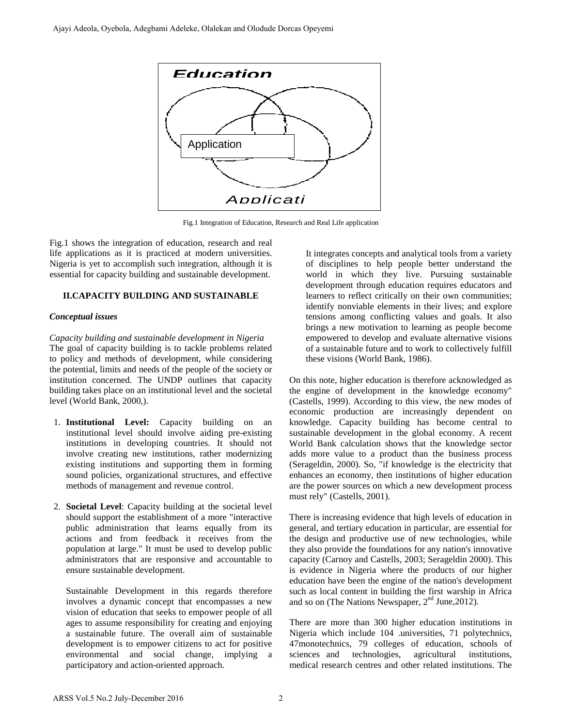

Fig.1 Integration of Education, Research and Real Life application

Fig.1 shows the integration of education, research and real life applications as it is practiced at modern universities. Nigeria is yet to accomplish such integration, although it is essential for capacity building and sustainable development.

# **II.CAPACITY BUILDING AND SUSTAINABLE**

## *Conceptual issues*

*Capacity building and sustainable development in Nigeria* The goal of capacity building is to tackle problems related to policy and methods of development, while considering the potential, limits and needs of the people of the society or institution concerned. The UNDP outlines that capacity building takes place on an institutional level and the societal level (World Bank, 2000,).

- 1. **Institutional Level:** Capacity building on an institutional level should involve aiding pre-existing institutions in developing countries. It should not involve creating new institutions, rather modernizing existing institutions and supporting them in forming sound policies, organizational structures, and effective methods of management and revenue control.
- 2. **Societal Level**: Capacity building at the societal level should support the establishment of a more "interactive public administration that learns equally from its actions and from feedback it receives from the population at large." It must be used to develop public administrators that are responsive and accountable to ensure sustainable development.

Sustainable Development in this regards therefore involves a dynamic concept that encompasses a new vision of education that seeks to empower people of all ages to assume responsibility for creating and enjoying a sustainable future. The overall aim of sustainable development is to empower citizens to act for positive environmental and social change, implying a participatory and action-oriented approach.

It integrates concepts and analytical tools from a variety of disciplines to help people better understand the world in which they live. Pursuing sustainable development through education requires educators and learners to reflect critically on their own communities; identify nonviable elements in their lives; and explore tensions among conflicting values and goals. It also brings a new motivation to learning as people become empowered to develop and evaluate alternative visions of a sustainable future and to work to collectively fulfill these visions (World Bank, 1986).

On this note, higher education is therefore acknowledged as the engine of development in the knowledge economy" (Castells, 1999). According to this view, the new modes of economic production are increasingly dependent on knowledge. Capacity building has become central to sustainable development in the global economy. A recent World Bank calculation shows that the knowledge sector adds more value to a product than the business process (Serageldin, 2000). So, "if knowledge is the electricity that enhances an economy, then institutions of higher education are the power sources on which a new development process must rely" (Castells, 2001).

There is increasing evidence that high levels of education in general, and tertiary education in particular, are essential for the design and productive use of new technologies, while they also provide the foundations for any nation's innovative capacity (Carnoy and Castells, 2003; Serageldin 2000). This is evidence in Nigeria where the products of our higher education have been the engine of the nation's development such as local content in building the first warship in Africa and so on (The Nations Newspaper,  $2<sup>nd</sup> June, 2012$ ).

There are more than 300 higher education institutions in Nigeria which include 104 .universities, 71 polytechnics, 47monotechnics, 79 colleges of education, schools of sciences and technologies, agricultural institutions, medical research centres and other related institutions. The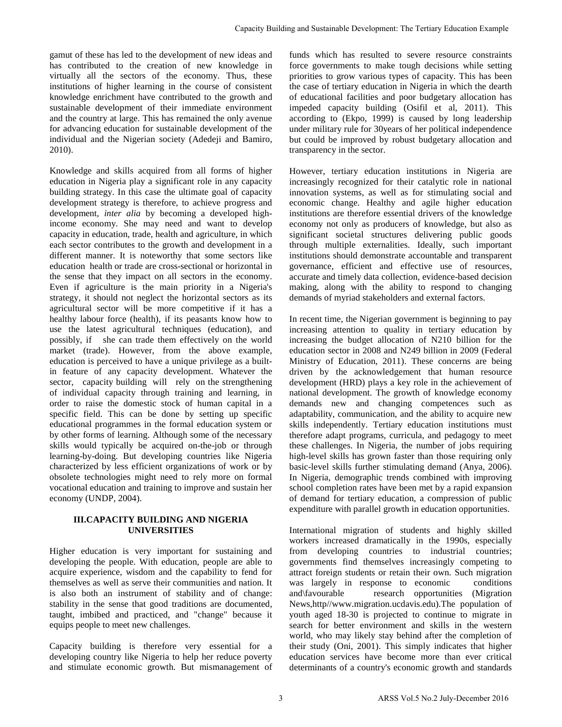gamut of these has led to the development of new ideas and has contributed to the creation of new knowledge in virtually all the sectors of the economy. Thus, these institutions of higher learning in the course of consistent knowledge enrichment have contributed to the growth and sustainable development of their immediate environment and the country at large. This has remained the only avenue for advancing education for sustainable development of the individual and the Nigerian society (Adedeji and Bamiro, 2010).

Knowledge and skills acquired from all forms of higher education in Nigeria play a significant role in any capacity building strategy. In this case the ultimate goal of capacity development strategy is therefore, to achieve progress and development, *inter alia* by becoming a developed highincome economy. She may need and want to develop capacity in education, trade, health and agriculture, in which each sector contributes to the growth and development in a different manner. It is noteworthy that some sectors like education health or trade are cross-sectional or horizontal in the sense that they impact on all sectors in the economy. Even if agriculture is the main priority in a Nigeria's strategy, it should not neglect the horizontal sectors as its agricultural sector will be more competitive if it has a healthy labour force (health), if its peasants know how to use the latest agricultural techniques (education), and possibly, if she can trade them effectively on the world market (trade). However, from the above example, education is perceived to have a unique privilege as a builtin feature of any capacity development. Whatever the sector, capacity building will rely on the strengthening of individual capacity through training and learning, in order to raise the domestic stock of human capital in a specific field. This can be done by setting up specific educational programmes in the formal education system or by other forms of learning. Although some of the necessary skills would typically be acquired on-the-job or through learning-by-doing. But developing countries like Nigeria characterized by less efficient organizations of work or by obsolete technologies might need to rely more on formal vocational education and training to improve and sustain her economy (UNDP, 2004).

# **III.CAPACITY BUILDING AND NIGERIA UNIVERSITIES**

Higher education is very important for sustaining and developing the people. With education, people are able to acquire experience, wisdom and the capability to fend for themselves as well as serve their communities and nation. It is also both an instrument of stability and of change: stability in the sense that good traditions are documented, taught, imbibed and practiced, and "change" because it equips people to meet new challenges.

Capacity building is therefore very essential for a developing country like Nigeria to help her reduce poverty and stimulate economic growth. But mismanagement of funds which has resulted to severe resource constraints force governments to make tough decisions while setting priorities to grow various types of capacity. This has been the case of tertiary education in Nigeria in which the dearth of educational facilities and poor budgetary allocation has impeded capacity building (Osifil et al, 2011). This according to (Ekpo, 1999) is caused by long leadership under military rule for 30years of her political independence but could be improved by robust budgetary allocation and transparency in the sector.

However, tertiary education institutions in Nigeria are increasingly recognized for their catalytic role in national innovation systems, as well as for stimulating social and economic change. Healthy and agile higher education institutions are therefore essential drivers of the knowledge economy not only as producers of knowledge, but also as significant societal structures delivering public goods through multiple externalities. Ideally, such important institutions should demonstrate accountable and transparent governance, efficient and effective use of resources, accurate and timely data collection, evidence-based decision making, along with the ability to respond to changing demands of myriad stakeholders and external factors.

In recent time, the Nigerian government is beginning to pay increasing attention to quality in tertiary education by increasing the budget allocation of N210 billion for the education sector in 2008 and N249 billion in 2009 (Federal Ministry of Education, 2011). These concerns are being driven by the acknowledgement that human resource development (HRD) plays a key role in the achievement of national development. The growth of knowledge economy demands new and changing competences such as adaptability, communication, and the ability to acquire new skills independently. Tertiary education institutions must therefore adapt programs, curricula, and pedagogy to meet these challenges. In Nigeria, the number of jobs requiring high-level skills has grown faster than those requiring only basic-level skills further stimulating demand (Anya, 2006). In Nigeria, demographic trends combined with improving school completion rates have been met by a rapid expansion of demand for tertiary education, a compression of public expenditure with parallel growth in education opportunities. Capacity Building and Sustainable Development: The Tertiary Education Example<br>
delay and  $f$  link- base souled to severe resource constraints,<br>
i.e., priorities to go which the stress of capacity. This has been<br>
consisten

International migration of students and highly skilled workers increased dramatically in the 1990s, especially from developing countries to industrial countries; governments find themselves increasingly competing to attract foreign students or retain their own. Such migration was largely in response to economic conditions and\favourable research opportunities (Migration News,http/[/www.migration.ucdavis.edu\).The](http://www.migration.ucdavis.edu).the/) population of youth aged 18-30 is projected to continue to migrate in search for better environment and skills in the western world, who may likely stay behind after the completion of their study (Oni, 2001). This simply indicates that higher education services have become more than ever critical determinants of a country's economic growth and standards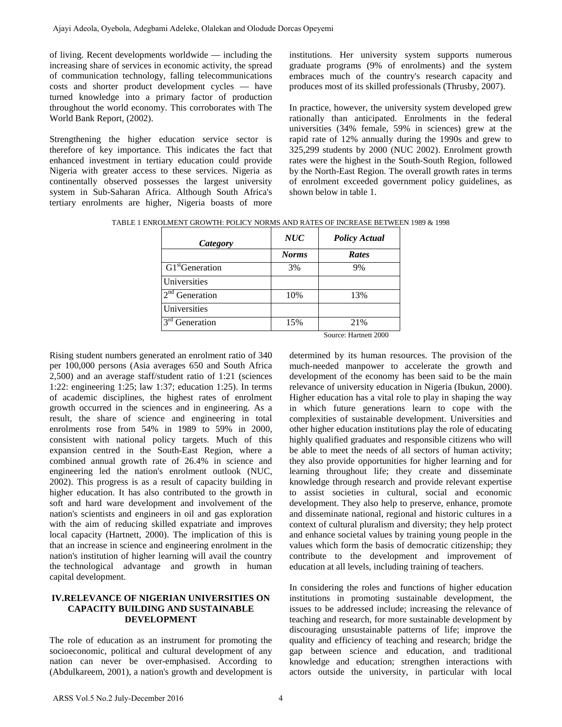of living. Recent developments worldwide — including the increasing share of services in economic activity, the spread of communication technology, falling telecommunications costs and shorter product development cycles — have turned knowledge into a primary factor of production throughout the world economy. This corroborates with The World Bank Report, (2002).

Strengthening the higher education service sector is therefore of key importance. This indicates the fact that enhanced investment in tertiary education could provide Nigeria with greater access to these services. Nigeria as continentally observed possesses the largest university system in Sub-Saharan Africa. Although South Africa's tertiary enrolments are higher, Nigeria boasts of more

institutions. Her university system supports numerous graduate programs (9% of enrolments) and the system embraces much of the country's research capacity and produces most of its skilled professionals (Thrusby, 2007).

In practice, however, the university system developed grew rationally than anticipated. Enrolments in the federal universities (34% female, 59% in sciences) grew at the rapid rate of 12% annually during the 1990s and grew to 325,299 students by 2000 (NUC 2002). Enrolment growth rates were the highest in the South-South Region, followed by the North-East Region. The overall growth rates in terms of enrolment exceeded government policy guidelines, as shown below in table 1.

TABLE 1 ENROLMENT GROWTH: POLICY NORMS AND RATES OF INCREASE BETWEEN 1989 & 1998

| <b>Category</b>             | <b>NUC</b>   | <b>Policy Actual</b>  |
|-----------------------------|--------------|-----------------------|
|                             | <b>Norms</b> | <b>Rates</b>          |
| GI <sup>st</sup> Generation | 3%           | 9%                    |
| Universities                |              |                       |
| $2nd$ Generation            | 10%          | 13%                   |
| Universities                |              |                       |
| $3rd$ Generation            | 15%          | 21%                   |
|                             |              | Source: Hartnett 2000 |

Rising student numbers generated an enrolment ratio of 340 per 100,000 persons (Asia averages 650 and South Africa 2,500) and an average staff/student ratio of 1:21 (sciences 1:22: engineering 1:25; law 1:37; education 1:25). In terms of academic disciplines, the highest rates of enrolment growth occurred in the sciences and in engineering. As a result, the share of science and engineering in total enrolments rose from 54% in 1989 to 59% in 2000, consistent with national policy targets. Much of this expansion centred in the South-East Region, where a combined annual growth rate of 26.4% in science and engineering led the nation's enrolment outlook (NUC, 2002). This progress is as a result of capacity building in higher education. It has also contributed to the growth in soft and hard ware development and involvement of the nation's scientists and engineers in oil and gas exploration with the aim of reducing skilled expatriate and improves local capacity (Hartnett, 2000). The implication of this is that an increase in science and engineering enrolment in the nation's institution of higher learning will avail the country the technological advantage and growth in human capital development.

## **IV.RELEVANCE OF NIGERIAN UNIVERSITIES ON CAPACITY BUILDING AND SUSTAINABLE DEVELOPMENT**

The role of education as an instrument for promoting the socioeconomic, political and cultural development of any nation can never be over-emphasised. According to (Abdulkareem, 2001), a nation's growth and development is determined by its human resources. The provision of the much-needed manpower to accelerate the growth and development of the economy has been said to be the main relevance of university education in Nigeria (Ibukun, 2000). Higher education has a vital role to play in shaping the way in which future generations learn to cope with the complexities of sustainable development. Universities and other higher education institutions play the role of educating highly qualified graduates and responsible citizens who will be able to meet the needs of all sectors of human activity; they also provide opportunities for higher learning and for learning throughout life; they create and disseminate knowledge through research and provide relevant expertise to assist societies in cultural, social and economic development. They also help to preserve, enhance, promote and disseminate national, regional and historic cultures in a context of cultural pluralism and diversity; they help protect and enhance societal values by training young people in the values which form the basis of democratic citizenship; they contribute to the development and improvement of education at all levels, including training of teachers.

In considering the roles and functions of higher education institutions in promoting sustainable development, the issues to be addressed include; increasing the relevance of teaching and research, for more sustainable development by discouraging unsustainable patterns of life; improve the quality and efficiency of teaching and research; bridge the gap between science and education, and traditional knowledge and education; strengthen interactions with actors outside the university, in particular with local